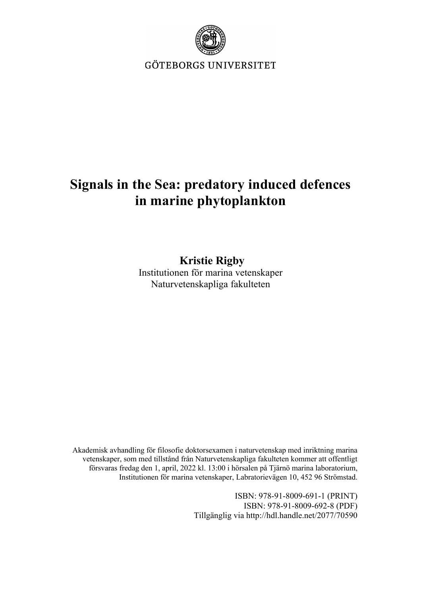

GÖTEBORGS UNIVERSITET

## **Signals in the Sea: predatory induced defences in marine phytoplankton**

**Kristie Rigby** Institutionen för marina vetenskaper Naturvetenskapliga fakulteten

Akademisk avhandling för filosofie doktorsexamen i naturvetenskap med inriktning marina vetenskaper, som med tillstånd från Naturvetenskapliga fakulteten kommer att offentligt försvaras fredag den 1, april, 2022 kl. 13:00 i hörsalen på Tjärnö marina laboratorium, Institutionen för marina vetenskaper, Labratorievägen 10, 452 96 Strömstad.

> ISBN: 978-91-8009-691-1 (PRINT) ISBN: 978-91-8009-692-8 (PDF) Tillgänglig via http://hdl.handle.net/2077/70590